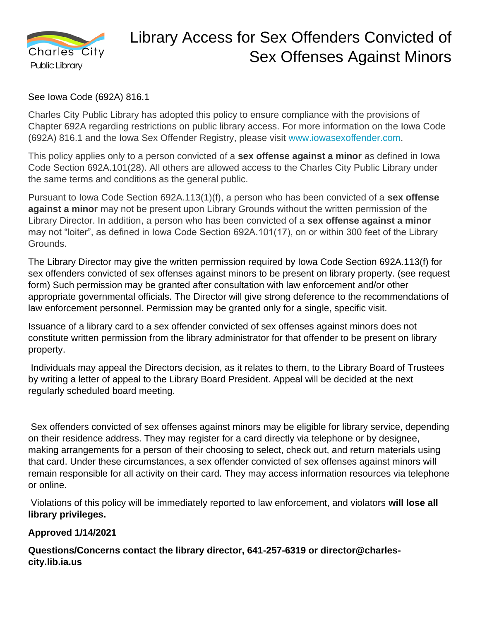

## Library Access for Sex Offenders Convicted of Sex Offenses Against Minors

See Iowa Code (692A) 816.1

Charles City Public Library has adopted this policy to ensure compliance with the provisions of Chapter 692A regarding restrictions on public library access. For more information on the Iowa Code (692A) 816.1 and the Iowa Sex Offender Registry, please visit [www.iowasexoffender.com.](http://www.iowasexoffender.com/)

This policy applies only to a person convicted of a **sex offense against a minor** as defined in Iowa Code Section 692A.101(28). All others are allowed access to the Charles City Public Library under the same terms and conditions as the general public.

Pursuant to Iowa Code Section 692A.113(1)(f), a person who has been convicted of a **sex offense against a minor** may not be present upon Library Grounds without the written permission of the Library Director. In addition, a person who has been convicted of a **sex offense against a minor**  may not "loiter", as defined in Iowa Code Section 692A.101(17), on or within 300 feet of the Library Grounds.

The Library Director may give the written permission required by Iowa Code Section 692A.113(f) for sex offenders convicted of sex offenses against minors to be present on library property. (see request form) Such permission may be granted after consultation with law enforcement and/or other appropriate governmental officials. The Director will give strong deference to the recommendations of law enforcement personnel. Permission may be granted only for a single, specific visit.

Issuance of a library card to a sex offender convicted of sex offenses against minors does not constitute written permission from the library administrator for that offender to be present on library property.

Individuals may appeal the Directors decision, as it relates to them, to the Library Board of Trustees by writing a letter of appeal to the Library Board President. Appeal will be decided at the next regularly scheduled board meeting.

Sex offenders convicted of sex offenses against minors may be eligible for library service, depending on their residence address. They may register for a card directly via telephone or by designee, making arrangements for a person of their choosing to select, check out, and return materials using that card. Under these circumstances, a sex offender convicted of sex offenses against minors will remain responsible for all activity on their card. They may access information resources via telephone or online.

Violations of this policy will be immediately reported to law enforcement, and violators **will lose all library privileges.**

## **Approved 1/14/2021**

**Questions/Concerns contact the library director, 641-257-6319 or director@charlescity.lib.ia.us**